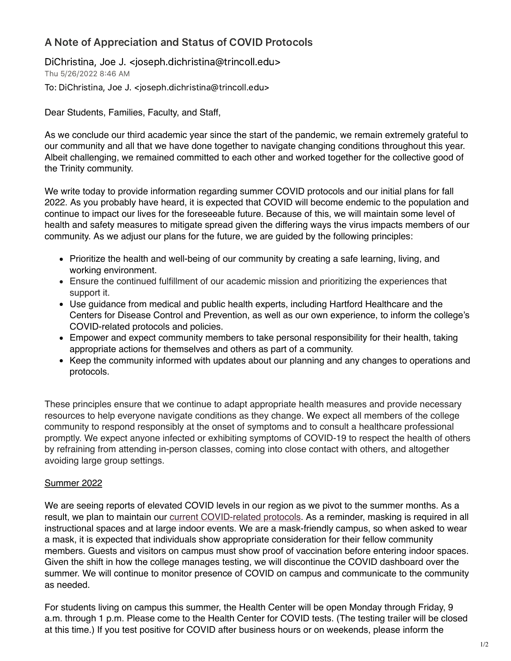## A Note of Appreciation and Status of COVID Protocols

DiChristina, Joe J. <joseph.dichristina@trincoll.edu> Thu 5/26/2022 8:46 AM To: DiChristina, Joe J. <joseph.dichristina@trincoll.edu>

Dear Students, Families, Faculty, and Staff,

As we conclude our third academic year since the start of the pandemic, we remain extremely grateful to our community and all that we have done together to navigate changing conditions throughout this year. Albeit challenging, we remained committed to each other and worked together for the collective good of the Trinity community.

We write today to provide information regarding summer COVID protocols and our initial plans for fall 2022. As you probably have heard, it is expected that COVID will become endemic to the population and continue to impact our lives for the foreseeable future. Because of this, we will maintain some level of health and safety measures to mitigate spread given the differing ways the virus impacts members of our community. As we adjust our plans for the future, we are guided by the following principles:

- Prioritize the health and well-being of our community by creating a safe learning, living, and working environment.
- Ensure the continued fulfillment of our academic mission and prioritizing the experiences that support it.
- Use guidance from medical and public health experts, including Hartford Healthcare and the Centers for Disease Control and Prevention, as well as our own experience, to inform the college's COVID-related protocols and policies.
- Empower and expect community members to take personal responsibility for their health, taking appropriate actions for themselves and others as part of a community.
- Keep the community informed with updates about our planning and any changes to operations and protocols.

These principles ensure that we continue to adapt appropriate health measures and provide necessary resources to help everyone navigate conditions as they change. We expect all members of the college community to respond responsibly at the onset of symptoms and to consult a healthcare professional promptly. We expect anyone infected or exhibiting symptoms of COVID-19 to respect the health of others by refraining from attending in-person classes, coming into close contact with others, and altogether avoiding large group settings.

## Summer 2022

We are seeing reports of elevated COVID levels in our region as we pivot to the summer months. As a result, we plan to maintain our current [COVID-related](https://www.trincoll.edu/reopening/) protocols. As a reminder, masking is required in all instructional spaces and at large indoor events. We are a mask-friendly campus, so when asked to wear a mask, it is expected that individuals show appropriate consideration for their fellow community members. Guests and visitors on campus must show proof of vaccination before entering indoor spaces. Given the shift in how the college manages testing, we will discontinue the COVID dashboard over the summer. We will continue to monitor presence of COVID on campus and communicate to the community as needed.

For students living on campus this summer, the Health Center will be open Monday through Friday, 9 a.m. through 1 p.m. Please come to the Health Center for COVID tests. (The testing trailer will be closed at this time.) If you test positive for COVID after business hours or on weekends, please inform the